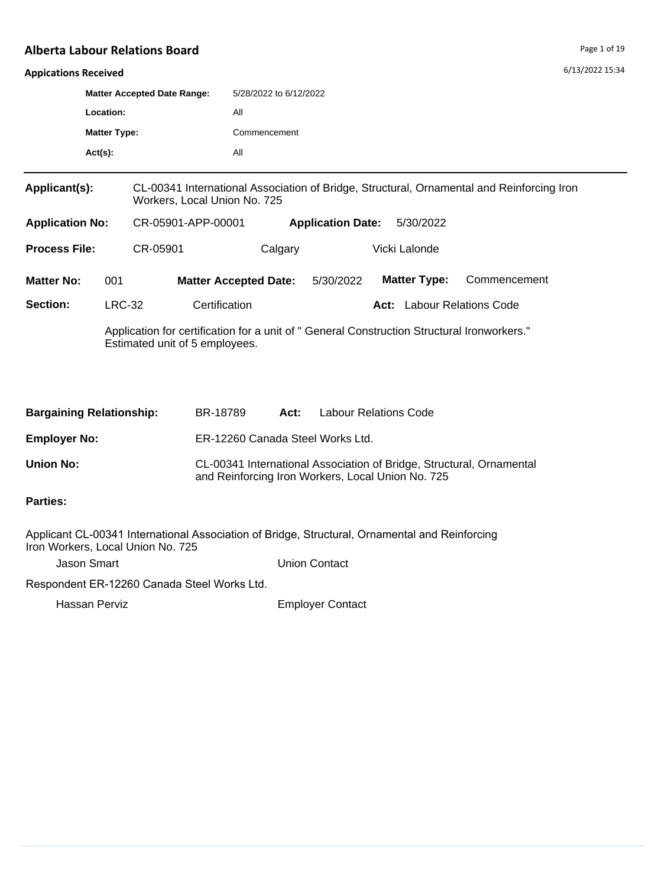## **Appications Received**

| <b>Appications Received</b>                                                                                                   |                     |                                    |                                                   |                              |                          |  |                     |                                                                                           | 6/13/2022 15:34 |
|-------------------------------------------------------------------------------------------------------------------------------|---------------------|------------------------------------|---------------------------------------------------|------------------------------|--------------------------|--|---------------------|-------------------------------------------------------------------------------------------|-----------------|
|                                                                                                                               |                     | <b>Matter Accepted Date Range:</b> |                                                   | 5/28/2022 to 6/12/2022       |                          |  |                     |                                                                                           |                 |
|                                                                                                                               | Location:           |                                    | All                                               |                              |                          |  |                     |                                                                                           |                 |
|                                                                                                                               | <b>Matter Type:</b> |                                    |                                                   | Commencement                 |                          |  |                     |                                                                                           |                 |
|                                                                                                                               | $Act(s)$ :          |                                    | All                                               |                              |                          |  |                     |                                                                                           |                 |
| Applicant(s):                                                                                                                 |                     |                                    | Workers, Local Union No. 725                      |                              |                          |  |                     | CL-00341 International Association of Bridge, Structural, Ornamental and Reinforcing Iron |                 |
| <b>Application No:</b>                                                                                                        |                     | CR-05901-APP-00001                 |                                                   |                              | <b>Application Date:</b> |  | 5/30/2022           |                                                                                           |                 |
| <b>Process File:</b>                                                                                                          |                     | CR-05901                           |                                                   | Calgary                      |                          |  | Vicki Lalonde       |                                                                                           |                 |
| <b>Matter No:</b>                                                                                                             | 001                 |                                    | <b>Matter Accepted Date:</b>                      |                              | 5/30/2022                |  | <b>Matter Type:</b> | Commencement                                                                              |                 |
| Section:                                                                                                                      | <b>LRC-32</b>       |                                    | Certification                                     |                              |                          |  |                     | <b>Act:</b> Labour Relations Code                                                         |                 |
| Application for certification for a unit of " General Construction Structural Ironworkers."<br>Estimated unit of 5 employees. |                     |                                    |                                                   |                              |                          |  |                     |                                                                                           |                 |
|                                                                                                                               |                     |                                    |                                                   |                              |                          |  |                     |                                                                                           |                 |
| <b>Bargaining Relationship:</b>                                                                                               |                     | BR-18789                           | Act:                                              | <b>Labour Relations Code</b> |                          |  |                     |                                                                                           |                 |
| <b>Employer No:</b>                                                                                                           |                     |                                    | ER-12260 Canada Steel Works Ltd.                  |                              |                          |  |                     |                                                                                           |                 |
| <b>Union No:</b>                                                                                                              |                     |                                    | and Reinforcing Iron Workers, Local Union No. 725 |                              |                          |  |                     | CL-00341 International Association of Bridge, Structural, Ornamental                      |                 |
| <b>Parties:</b>                                                                                                               |                     |                                    |                                                   |                              |                          |  |                     |                                                                                           |                 |

Applicant CL-00341 International Association of Bridge, Structural, Ornamental and Reinforcing Iron Workers, Local Union No. 725

Jason Smart Union Contact

Respondent ER-12260 Canada Steel Works Ltd.

Hassan Perviz **Employer Contact**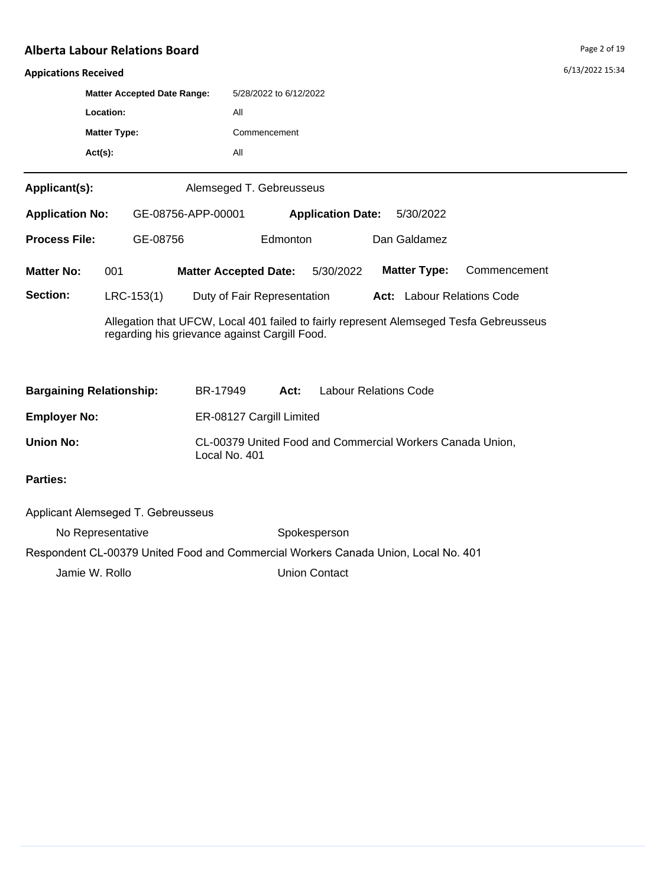6/13/2022 15:34

#### **Appications Received**

| <b>UNNICATIONS INCEPTION</b>                                                                                                            |                     |                                    |                    |                              |                          |                     |                            |  |
|-----------------------------------------------------------------------------------------------------------------------------------------|---------------------|------------------------------------|--------------------|------------------------------|--------------------------|---------------------|----------------------------|--|
|                                                                                                                                         |                     | <b>Matter Accepted Date Range:</b> |                    | 5/28/2022 to 6/12/2022       |                          |                     |                            |  |
|                                                                                                                                         | Location:           |                                    |                    | All                          |                          |                     |                            |  |
|                                                                                                                                         | <b>Matter Type:</b> |                                    |                    | Commencement                 |                          |                     |                            |  |
|                                                                                                                                         | $Act(s)$ :          |                                    |                    | All                          |                          |                     |                            |  |
| Applicant(s):<br>Alemseged T. Gebreusseus                                                                                               |                     |                                    |                    |                              |                          |                     |                            |  |
| <b>Application No:</b>                                                                                                                  |                     |                                    | GE-08756-APP-00001 |                              | <b>Application Date:</b> | 5/30/2022           |                            |  |
| <b>Process File:</b>                                                                                                                    |                     | GE-08756                           |                    | Edmonton                     |                          | Dan Galdamez        |                            |  |
| <b>Matter No:</b>                                                                                                                       | 001                 |                                    |                    | <b>Matter Accepted Date:</b> | 5/30/2022                | <b>Matter Type:</b> | Commencement               |  |
| Section:                                                                                                                                |                     | $LRC-153(1)$                       |                    | Duty of Fair Representation  |                          |                     | Act: Labour Relations Code |  |
| Allegation that UFCW, Local 401 failed to fairly represent Alemseged Tesfa Gebreusseus<br>regarding his grievance against Cargill Food. |                     |                                    |                    |                              |                          |                     |                            |  |
| <b>Labour Relations Code</b><br><b>Bargaining Relationship:</b><br>BR-17949<br>Act:                                                     |                     |                                    |                    |                              |                          |                     |                            |  |

**Employer No:** ER-08127 Cargill Limited

**Union No:** CL-00379 United Food and Commercial Workers Canada Union, Local No. 401

# **Parties:**

Applicant Alemseged T. Gebreusseus No Representative Spokesperson Respondent CL-00379 United Food and Commercial Workers Canada Union, Local No. 401 Jamie W. Rollo **Vances** Union Contact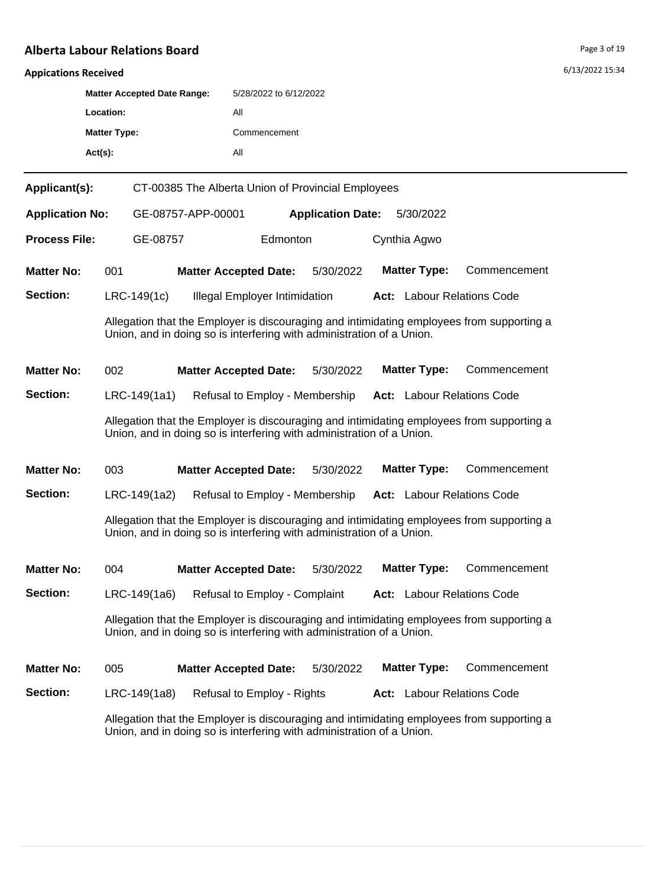6/13/2022 15:34

#### **Appications Received**

|                        | <b>Matter Accepted Date Range:</b> |               |                    | 5/28/2022 to 6/12/2022                                                                                                                                             |                          |  |                     |                                   |  |
|------------------------|------------------------------------|---------------|--------------------|--------------------------------------------------------------------------------------------------------------------------------------------------------------------|--------------------------|--|---------------------|-----------------------------------|--|
|                        | Location:                          |               |                    | All                                                                                                                                                                |                          |  |                     |                                   |  |
|                        | <b>Matter Type:</b>                |               |                    | Commencement                                                                                                                                                       |                          |  |                     |                                   |  |
|                        | $Act(s)$ :                         |               |                    | All                                                                                                                                                                |                          |  |                     |                                   |  |
| Applicant(s):          |                                    |               |                    | CT-00385 The Alberta Union of Provincial Employees                                                                                                                 |                          |  |                     |                                   |  |
| <b>Application No:</b> |                                    |               | GE-08757-APP-00001 |                                                                                                                                                                    | <b>Application Date:</b> |  | 5/30/2022           |                                   |  |
| <b>Process File:</b>   |                                    | GE-08757      |                    | Edmonton                                                                                                                                                           |                          |  | Cynthia Agwo        |                                   |  |
| <b>Matter No:</b>      | 001                                |               |                    | <b>Matter Accepted Date:</b>                                                                                                                                       | 5/30/2022                |  | <b>Matter Type:</b> | Commencement                      |  |
| Section:               |                                    | $LRC-149(1c)$ |                    | <b>Illegal Employer Intimidation</b>                                                                                                                               |                          |  |                     | <b>Act:</b> Labour Relations Code |  |
|                        |                                    |               |                    | Allegation that the Employer is discouraging and intimidating employees from supporting a<br>Union, and in doing so is interfering with administration of a Union. |                          |  |                     |                                   |  |

| <b>Matter No:</b> | 002 | Matter Accepted Date: 5/30/2022 |  |  | <b>Matter Type:</b> Commencement |
|-------------------|-----|---------------------------------|--|--|----------------------------------|
|-------------------|-----|---------------------------------|--|--|----------------------------------|

| Section: | LRC-149(1a1) Refusal to Employ - Membership Act: Labour Relations Code |  |
|----------|------------------------------------------------------------------------|--|
|----------|------------------------------------------------------------------------|--|

Allegation that the Employer is discouraging and intimidating employees from supporting a Union, and in doing so is interfering with administration of a Union.

**Matter No: 003 Matter Accepted Date:** 5/30/2022 **Matter Type:** Commencement

**Section:** LRC-149(1a2) Refusal to Employ - Membership **Act:** Labour Relations Code

Allegation that the Employer is discouraging and intimidating employees from supporting a Union, and in doing so is interfering with administration of a Union.

| <b>Matter No:</b> | 004 | Matter Accepted Date: 5/30/2022 |  | <b>Matter Type:</b> | Commencement |
|-------------------|-----|---------------------------------|--|---------------------|--------------|
|-------------------|-----|---------------------------------|--|---------------------|--------------|

**Section:** LRC-149(1a6) Refusal to Employ - Complaint **Act:** Labour Relations Code

Allegation that the Employer is discouraging and intimidating employees from supporting a Union, and in doing so is interfering with administration of a Union.

| <b>Matter No:</b> | 005.         | <b>Matter Accepted Date:</b> | 5/30/2022 |                                   | <b>Matter Type:</b> Commencement |
|-------------------|--------------|------------------------------|-----------|-----------------------------------|----------------------------------|
| <b>Section:</b>   | LRC-149(1a8) | Refusal to Employ - Rights   |           | <b>Act:</b> Labour Relations Code |                                  |

Allegation that the Employer is discouraging and intimidating employees from supporting a Union, and in doing so is interfering with administration of a Union.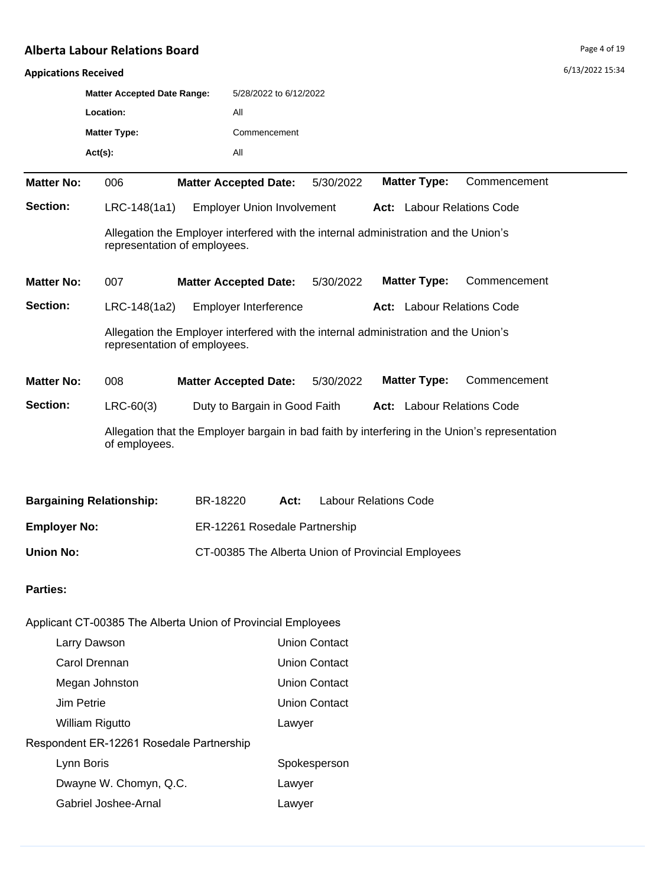## **Appications Received**

| <b>Matter Accepted Date Range:</b> | 5/28/2022 to 6/12/2022 |
|------------------------------------|------------------------|
| Location:                          | All                    |
| <b>Matter Type:</b>                | Commencement           |
| $Act(s)$ :                         | Αll                    |

| <b>Matter No:</b> | 006                                                                                                                 | <b>Matter Accepted Date:</b>                                                                                        | 5/30/2022 | <b>Matter Type:</b>               | Commencement |
|-------------------|---------------------------------------------------------------------------------------------------------------------|---------------------------------------------------------------------------------------------------------------------|-----------|-----------------------------------|--------------|
| Section:          | LRC-148(1a1)                                                                                                        | <b>Employer Union Involvement</b>                                                                                   |           | <b>Act:</b> Labour Relations Code |              |
|                   |                                                                                                                     | Allegation the Employer interfered with the internal administration and the Union's<br>representation of employees. |           |                                   |              |
| <b>Matter No:</b> | 007                                                                                                                 | <b>Matter Accepted Date:</b>                                                                                        | 5/30/2022 | <b>Matter Type:</b>               | Commencement |
| Section:          | LRC-148(1a2)                                                                                                        | Employer Interference                                                                                               |           | <b>Act:</b> Labour Relations Code |              |
|                   | Allegation the Employer interfered with the internal administration and the Union's<br>representation of employees. |                                                                                                                     |           |                                   |              |
| <b>Matter No:</b> | 008                                                                                                                 | <b>Matter Accepted Date:</b>                                                                                        | 5/30/2022 | <b>Matter Type:</b>               | Commencement |
| Section:          | $LRC-60(3)$                                                                                                         | Duty to Bargain in Good Faith                                                                                       |           | <b>Act:</b> Labour Relations Code |              |
|                   | of employees.                                                                                                       | Allegation that the Employer bargain in bad faith by interfering in the Union's representation                      |           |                                   |              |

| <b>Bargaining Relationship:</b> | BR-18220                      | Act: | <b>Labour Relations Code</b>                       |
|---------------------------------|-------------------------------|------|----------------------------------------------------|
| <b>Employer No:</b>             | ER-12261 Rosedale Partnership |      |                                                    |
| Union No:                       |                               |      | CT-00385 The Alberta Union of Provincial Employees |

| Applicant CT-00385 The Alberta Union of Provincial Employees |                      |
|--------------------------------------------------------------|----------------------|
| Larry Dawson                                                 | Union Contact        |
| Carol Drennan                                                | Union Contact        |
| Megan Johnston                                               | <b>Union Contact</b> |
| Jim Petrie                                                   | Union Contact        |
| William Rigutto                                              | Lawyer               |
| Respondent ER-12261 Rosedale Partnership                     |                      |
| Lynn Boris                                                   | Spokesperson         |
| Dwayne W. Chomyn, Q.C.                                       | Lawyer               |
| Gabriel Joshee-Arnal                                         | Lawyer               |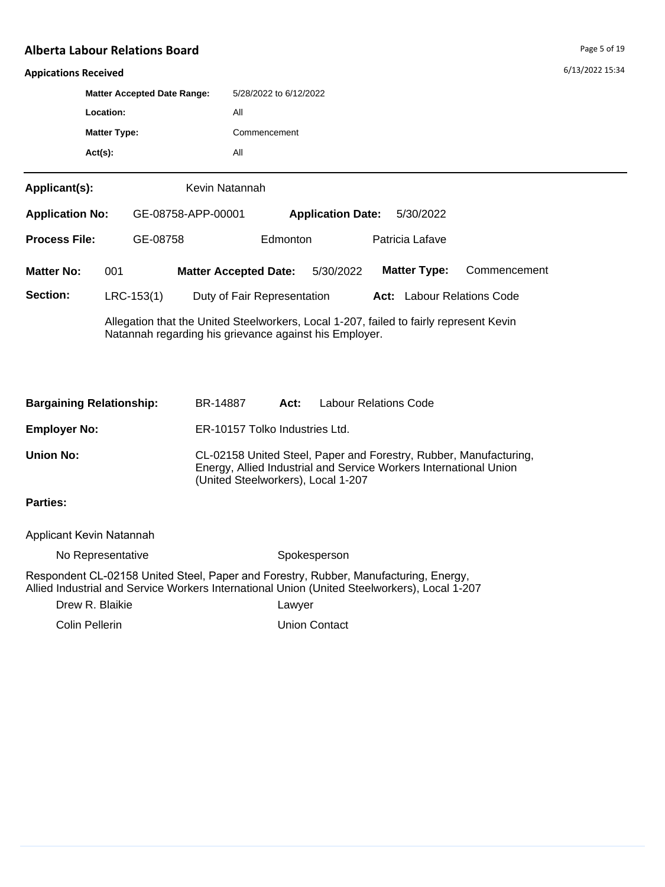6/13/2022 15:34

#### **Appications Received**

| <b>Matter Accepted Date Range:</b> | 5/28/2022 to 6/12/2022 |
|------------------------------------|------------------------|
| Location:                          | All                    |
| <b>Matter Type:</b>                | Commencement           |
| $Act(s)$ :                         | All                    |
| Applicant(s):                      | Kevin Natannah         |

| <b>Application No:</b> |              | GE-08758-APP-00001                                                                     |          | <b>Application Date:</b> | 5/30/2022                         |              |  |
|------------------------|--------------|----------------------------------------------------------------------------------------|----------|--------------------------|-----------------------------------|--------------|--|
| <b>Process File:</b>   | GE-08758     |                                                                                        | Edmonton |                          | Patricia Lafave                   |              |  |
| <b>Matter No:</b>      | 001          | <b>Matter Accepted Date:</b>                                                           |          | 5/30/2022                | <b>Matter Type:</b>               | Commencement |  |
| Section:               | $LRC-153(1)$ | Duty of Fair Representation                                                            |          |                          | <b>Act:</b> Labour Relations Code |              |  |
|                        |              | Allegation that the United Steelworkers, Local 1-207, failed to fairly represent Kevin |          |                          |                                   |              |  |

Natannah regarding his grievance against his Employer.

| <b>Bargaining Relationship:</b> | BR-14887                           | Act: | <b>Labour Relations Code</b>                                                                                                           |
|---------------------------------|------------------------------------|------|----------------------------------------------------------------------------------------------------------------------------------------|
| <b>Employer No:</b>             | ER-10157 Tolko Industries Ltd.     |      |                                                                                                                                        |
| Union No:                       | (United Steelworkers), Local 1-207 |      | CL-02158 United Steel, Paper and Forestry, Rubber, Manufacturing,<br>Energy, Allied Industrial and Service Workers International Union |

## **Parties:**

Applicant Kevin Natannah

No Representative Spokesperson

Respondent CL-02158 United Steel, Paper and Forestry, Rubber, Manufacturing, Energy, Allied Industrial and Service Workers International Union (United Steelworkers), Local 1-207

Drew R. Blaikie Lawyer

Colin Pellerin Union Contact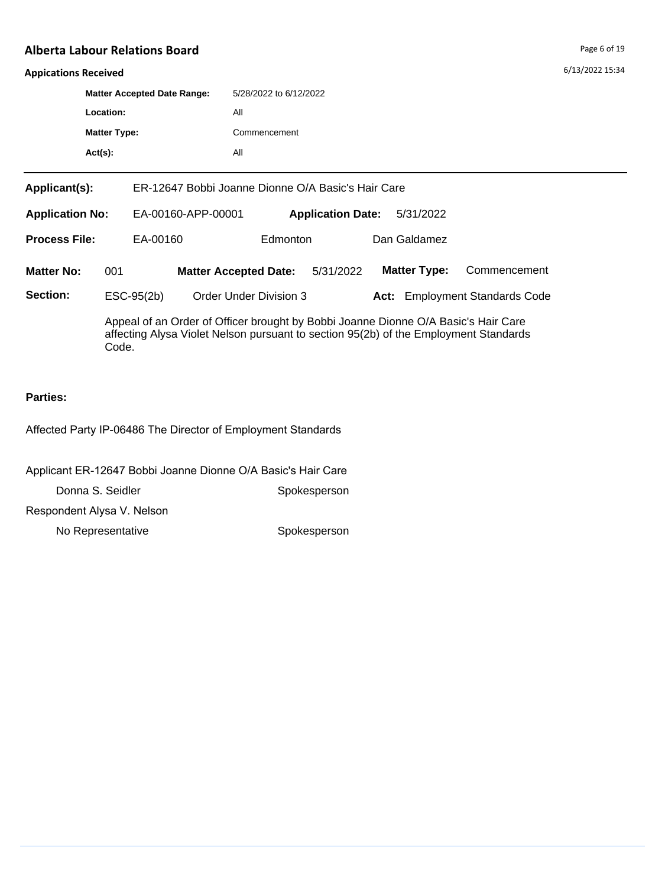6/13/2022 15:34

#### **Appications Received**

|                        |            | <b>Matter Accepted Date Range:</b> |                    | 5/28/2022 to 6/12/2022                                                                      |                          |  |                     |                                       |  |
|------------------------|------------|------------------------------------|--------------------|---------------------------------------------------------------------------------------------|--------------------------|--|---------------------|---------------------------------------|--|
|                        | Location:  |                                    |                    | All                                                                                         |                          |  |                     |                                       |  |
| <b>Matter Type:</b>    |            | Commencement                       |                    |                                                                                             |                          |  |                     |                                       |  |
|                        | $Act(s)$ : |                                    |                    | All                                                                                         |                          |  |                     |                                       |  |
|                        |            |                                    |                    |                                                                                             |                          |  |                     |                                       |  |
| Applicant(s):          |            |                                    |                    | ER-12647 Bobbi Joanne Dionne O/A Basic's Hair Care                                          |                          |  |                     |                                       |  |
| <b>Application No:</b> |            |                                    | EA-00160-APP-00001 |                                                                                             | <b>Application Date:</b> |  | 5/31/2022           |                                       |  |
| <b>Process File:</b>   |            | EA-00160                           |                    | <b>Edmonton</b>                                                                             |                          |  | Dan Galdamez        |                                       |  |
| <b>Matter No:</b>      | 001        |                                    |                    | <b>Matter Accepted Date:</b>                                                                | 5/31/2022                |  | <b>Matter Type:</b> | Commencement                          |  |
| Section:               |            | ESC-95(2b)                         |                    | <b>Order Under Division 3</b>                                                               |                          |  |                     | <b>Act:</b> Employment Standards Code |  |
|                        |            |                                    |                    | Anneal of an Order of Officer brought by Robbi, Joanne Dionne $O/\Lambda$ Rasic's Hair Care |                          |  |                     |                                       |  |

Appeal of an Order of Officer brought by Bobbi Joanne Dionne O/A Basic's Hair Care affecting Alysa Violet Nelson pursuant to section 95(2b) of the Employment Standards Code.

## **Parties:**

Affected Party IP-06486 The Director of Employment Standards

Applicant ER-12647 Bobbi Joanne Dionne O/A Basic's Hair Care

Donna S. Seidler Spokesperson

Respondent Alysa V. Nelson

No Representative Spokesperson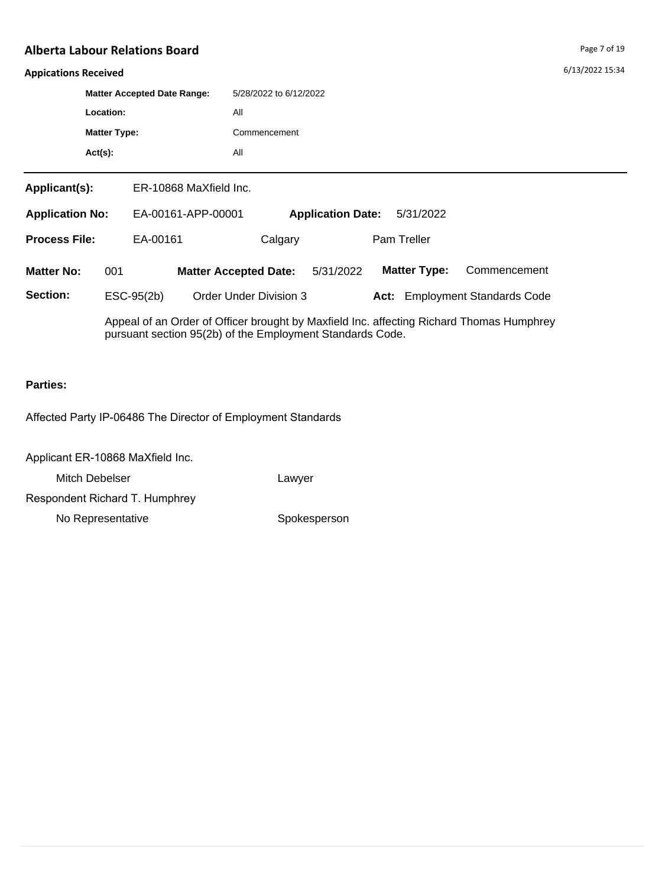6/13/2022 15:34

#### **Appications Received**

|                        |                     | <b>Matter Accepted Date Range:</b> |              | 5/28/2022 to 6/12/2022   |             |  |  |
|------------------------|---------------------|------------------------------------|--------------|--------------------------|-------------|--|--|
|                        | Location:           |                                    | All          |                          |             |  |  |
|                        | <b>Matter Type:</b> |                                    | Commencement |                          |             |  |  |
|                        | $Act(s)$ :          |                                    | All          |                          |             |  |  |
|                        |                     |                                    |              |                          |             |  |  |
| Applicant(s):          |                     | ER-10868 MaXfield Inc.             |              |                          |             |  |  |
| <b>Application No:</b> |                     | EA-00161-APP-00001                 |              | <b>Application Date:</b> | 5/31/2022   |  |  |
| <b>Process File:</b>   |                     | EA-00161                           |              | Calgary                  | Pam Treller |  |  |

**Matter No: 001 Matter Accepted Date:** 5/31/2022 **Matter Type:** Commencement

**Section:** ESC-95(2b) Order Under Division 3 **Act:** Employment Standards Code

Appeal of an Order of Officer brought by Maxfield Inc. affecting Richard Thomas Humphrey pursuant section 95(2b) of the Employment Standards Code.

## **Parties:**

Affected Party IP-06486 The Director of Employment Standards

Applicant ER-10868 MaXfield Inc.

Mitch Debelser **Lawyer** 

Respondent Richard T. Humphrey

No Representative Spokesperson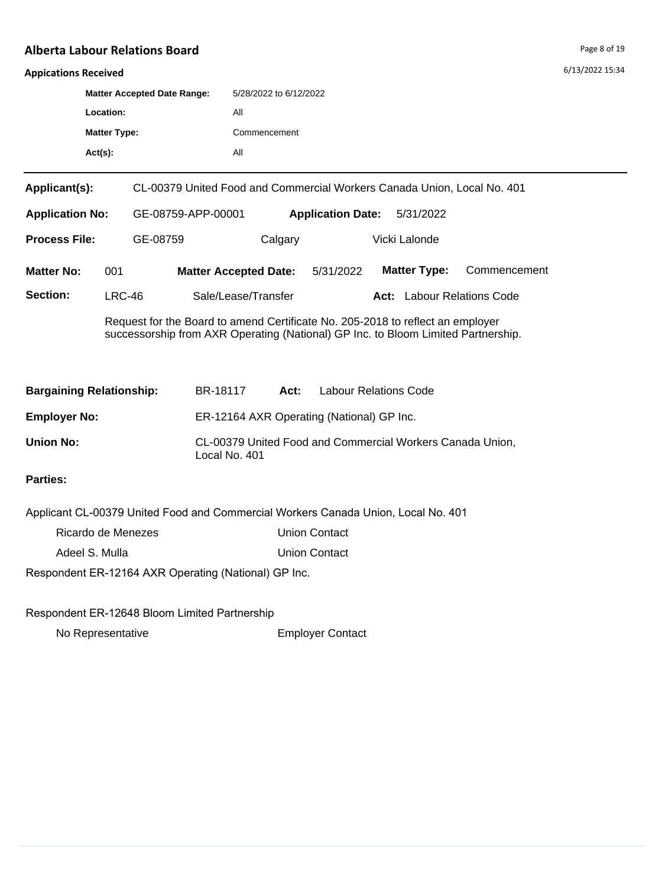#### **Appications Received**

| <b>Matter Accepted Date Range:</b> | 5/28/2022 to 6/12/2022 |
|------------------------------------|------------------------|
| Location:                          | Αll                    |
| <b>Matter Type:</b>                | Commencement           |
| $Act(s)$ :                         | Αll                    |

| Applicant(s):<br>CL-00379 United Food and Commercial Workers Canada Union, Local No. 401 |                                                                                |                              |         |                          |      |                       |              |
|------------------------------------------------------------------------------------------|--------------------------------------------------------------------------------|------------------------------|---------|--------------------------|------|-----------------------|--------------|
| <b>Application No:</b>                                                                   |                                                                                | GE-08759-APP-00001           |         | <b>Application Date:</b> |      | 5/31/2022             |              |
| <b>Process File:</b>                                                                     |                                                                                | GE-08759                     | Calgary |                          |      | Vicki Lalonde         |              |
| <b>Matter No:</b>                                                                        | 001                                                                            | <b>Matter Accepted Date:</b> |         | 5/31/2022                |      | <b>Matter Type:</b>   | Commencement |
| Section:                                                                                 | $LRC-46$                                                                       | Sale/Lease/Transfer          |         |                          | Act: | Labour Relations Code |              |
|                                                                                          | Request for the Board to amend Certificate No. 205-2018 to reflect an employer |                              |         |                          |      |                       |              |

successorship from AXR Operating (National) GP Inc. to Bloom Limited Partnership.

| <b>Bargaining Relationship:</b> | BR-18117      | Act: | Labour Relations Code                                     |
|---------------------------------|---------------|------|-----------------------------------------------------------|
| <b>Employer No:</b>             |               |      | ER-12164 AXR Operating (National) GP Inc.                 |
| Union No:                       | Local No. 401 |      | CL-00379 United Food and Commercial Workers Canada Union, |

## **Parties:**

Applicant CL-00379 United Food and Commercial Workers Canada Union, Local No. 401

| <b>Union Contact</b><br>Ricardo de Menezes |
|--------------------------------------------|
|                                            |

Adeel S. Mulla **Union Contact** 

Respondent ER-12164 AXR Operating (National) GP Inc.

Respondent ER-12648 Bloom Limited Partnership

No Representative **Employer Contact**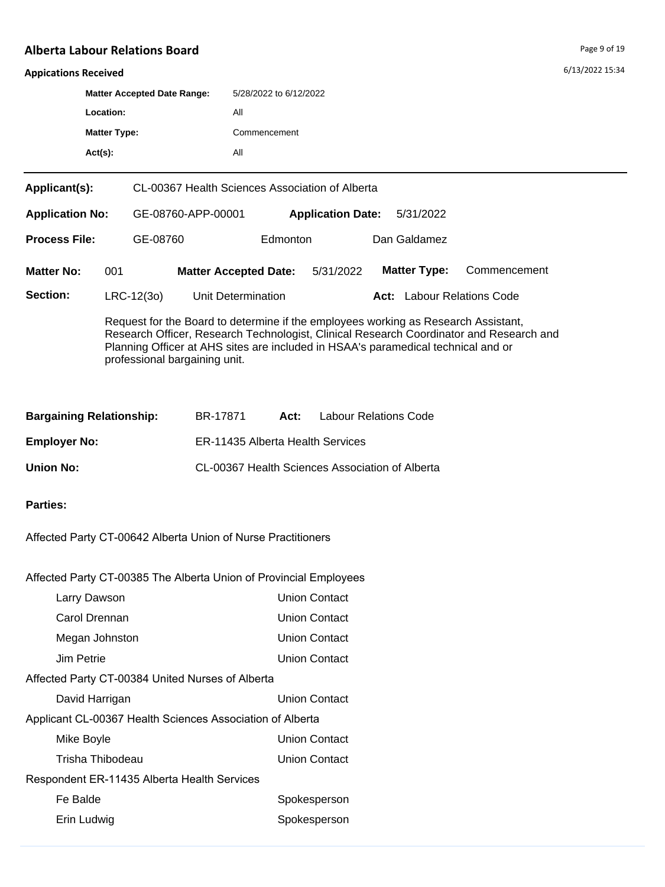#### **Appications Received**

| <b>Appications Received</b> |                     |                                                 |                              |                          |                     |              | 6/13/2022 15:34 |
|-----------------------------|---------------------|-------------------------------------------------|------------------------------|--------------------------|---------------------|--------------|-----------------|
|                             |                     | <b>Matter Accepted Date Range:</b>              | 5/28/2022 to 6/12/2022       |                          |                     |              |                 |
|                             | Location:           |                                                 | All                          |                          |                     |              |                 |
|                             | <b>Matter Type:</b> |                                                 | Commencement                 |                          |                     |              |                 |
|                             | $Act(s)$ :          |                                                 | All                          |                          |                     |              |                 |
| Applicant(s):               |                     | CL-00367 Health Sciences Association of Alberta |                              |                          |                     |              |                 |
| <b>Application No:</b>      |                     | GE-08760-APP-00001                              |                              | <b>Application Date:</b> | 5/31/2022           |              |                 |
| <b>Process File:</b>        |                     | GE-08760                                        | Edmonton                     |                          | Dan Galdamez        |              |                 |
| <b>Matter No:</b>           | 001                 |                                                 | <b>Matter Accepted Date:</b> | 5/31/2022                | <b>Matter Type:</b> | Commencement |                 |

Section: LRC-12(3o) Unit Determination **Act:** Labour Relations Code

Request for the Board to determine if the employees working as Research Assistant, Research Officer, Research Technologist, Clinical Research Coordinator and Research and Planning Officer at AHS sites are included in HSAA's paramedical technical and or professional bargaining unit.

| <b>Bargaining Relationship:</b> | BR-17871                         | Act: | <b>Labour Relations Code</b>                    |
|---------------------------------|----------------------------------|------|-------------------------------------------------|
| <b>Employer No:</b>             | ER-11435 Alberta Health Services |      |                                                 |
| Union No:                       |                                  |      | CL-00367 Health Sciences Association of Alberta |

**Parties:**

Affected Party CT-00642 Alberta Union of Nurse Practitioners

Affected Party CT-00385 The Alberta Union of Provincial Employees

| Larry Dawson                                              | Union Contact        |
|-----------------------------------------------------------|----------------------|
| Carol Drennan                                             | <b>Union Contact</b> |
| Megan Johnston                                            | <b>Union Contact</b> |
| Jim Petrie                                                | Union Contact        |
| Affected Party CT-00384 United Nurses of Alberta          |                      |
| David Harrigan                                            | Union Contact        |
| Applicant CL-00367 Health Sciences Association of Alberta |                      |
| Mike Boyle                                                | <b>Union Contact</b> |
| Trisha Thibodeau                                          | Union Contact        |
| Respondent ER-11435 Alberta Health Services               |                      |
| Fe Balde                                                  | Spokesperson         |
| Erin Ludwig                                               | Spokesperson         |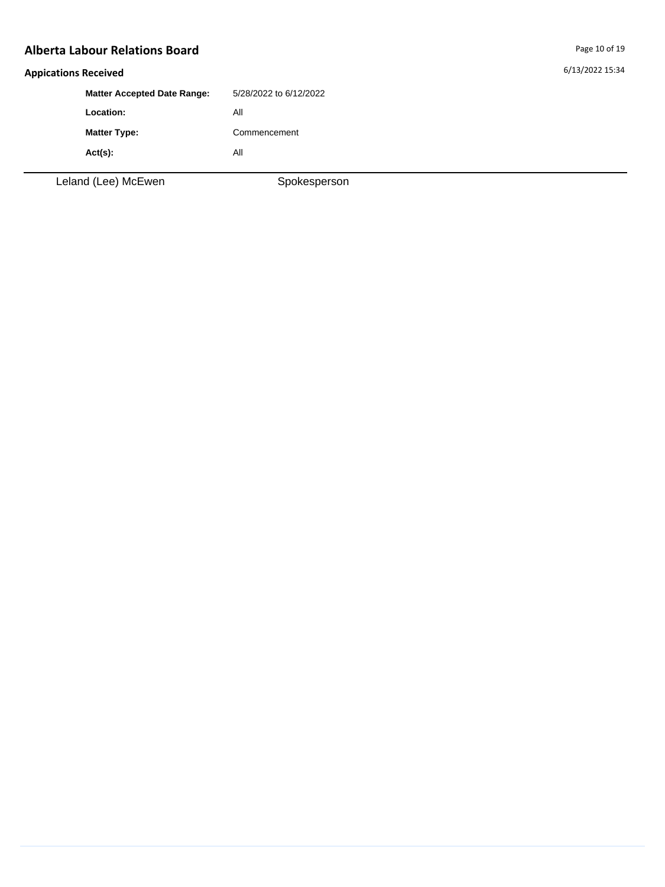6/13/2022 15:34

## **Appications Received**

| <b>Matter Accepted Date Range:</b> | 5/28/2022 to 6/12/2022 |
|------------------------------------|------------------------|
| Location:                          | All                    |
| <b>Matter Type:</b>                | Commencement           |
| $Act(s)$ :                         | All                    |
|                                    |                        |

Leland (Lee) McEwen Spokesperson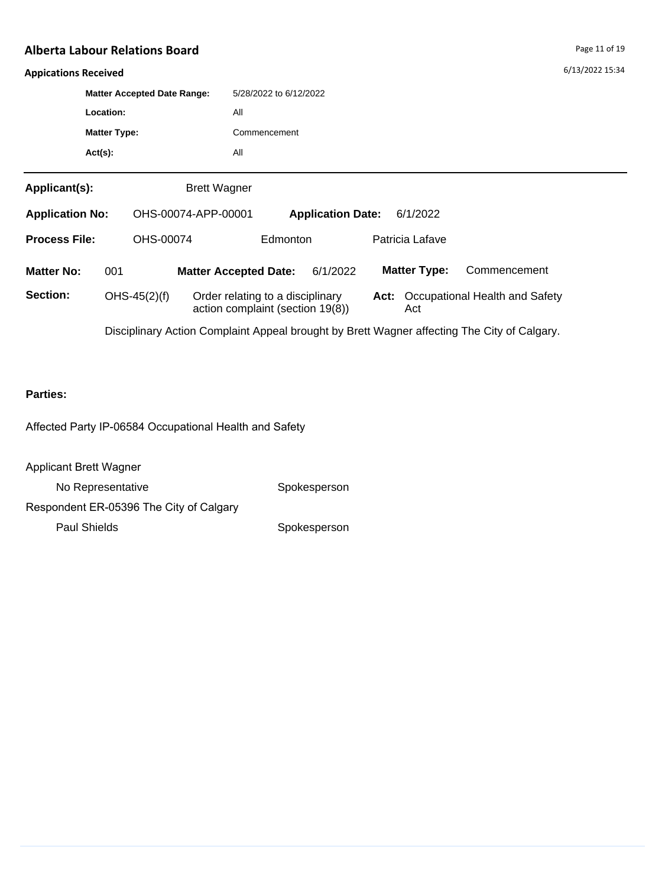#### **Appications Received**

|                        |                     | <b>Matter Accepted Date Range:</b> | 5/28/2022 to 6/12/2022 |                          |          |  |  |  |  |
|------------------------|---------------------|------------------------------------|------------------------|--------------------------|----------|--|--|--|--|
|                        | Location:           |                                    | All                    |                          |          |  |  |  |  |
|                        | <b>Matter Type:</b> |                                    |                        | Commencement             |          |  |  |  |  |
|                        | $Act(s)$ :          |                                    | All                    |                          |          |  |  |  |  |
| Applicant(s):          |                     | <b>Brett Wagner</b>                |                        |                          |          |  |  |  |  |
| <b>Application No:</b> |                     | OHS-00074-APP-00001                |                        | <b>Application Date:</b> | 6/1/2022 |  |  |  |  |

| <b>Matter No:</b> | 001            | <b>Matter Accepted Date:</b>                                         | 6/1/2022 | <b>Matter Type:</b> | Commencement                        |
|-------------------|----------------|----------------------------------------------------------------------|----------|---------------------|-------------------------------------|
| <b>Section:</b>   | $OHS-45(2)(f)$ | Order relating to a disciplinary<br>action complaint (section 19(8)) |          | Act                 | Act: Occupational Health and Safety |

**Process File:** OHS-00074 Edmonton Patricia Lafave

Disciplinary Action Complaint Appeal brought by Brett Wagner affecting The City of Calgary.

### **Parties:**

Affected Party IP-06584 Occupational Health and Safety

Applicant Brett Wagner

No Representative Spokesperson

Respondent ER-05396 The City of Calgary

Paul Shields **Spokesperson**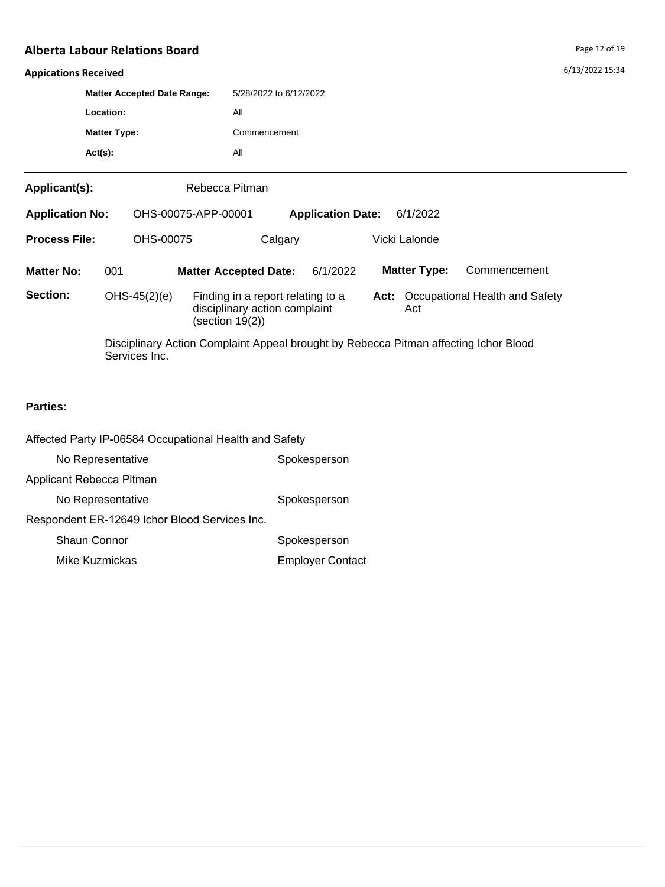## **Appications Received**

|                        | <b>Matter Accepted Date Range:</b>   | 5/28/2022 to 6/12/2022 |                                                                    |                          |  |                                                                                      |  |  |
|------------------------|--------------------------------------|------------------------|--------------------------------------------------------------------|--------------------------|--|--------------------------------------------------------------------------------------|--|--|
|                        | Location:                            | All                    |                                                                    |                          |  |                                                                                      |  |  |
|                        | <b>Matter Type:</b>                  |                        | Commencement                                                       |                          |  |                                                                                      |  |  |
|                        | $Act(s)$ :                           | All                    |                                                                    |                          |  |                                                                                      |  |  |
| Applicant(s):          |                                      |                        | Rebecca Pitman                                                     |                          |  |                                                                                      |  |  |
| <b>Application No:</b> |                                      | OHS-00075-APP-00001    |                                                                    | <b>Application Date:</b> |  | 6/1/2022                                                                             |  |  |
| <b>Process File:</b>   | OHS-00075                            |                        | Calgary                                                            |                          |  | Vicki Lalonde                                                                        |  |  |
| <b>Matter No:</b>      | 001                                  |                        | <b>Matter Accepted Date:</b>                                       | 6/1/2022                 |  | <b>Matter Type:</b><br>Commencement                                                  |  |  |
| Section:               | $OHS-45(2)(e)$<br>(section $19(2)$ ) |                        | Finding in a report relating to a<br>disciplinary action complaint |                          |  | Act: Occupational Health and Safety<br>Act                                           |  |  |
|                        | Services Inc.                        |                        |                                                                    |                          |  | Disciplinary Action Complaint Appeal brought by Rebecca Pitman affecting Ichor Blood |  |  |

| Affected Party IP-06584 Occupational Health and Safety |                         |  |  |  |  |
|--------------------------------------------------------|-------------------------|--|--|--|--|
| No Representative                                      | Spokesperson            |  |  |  |  |
| Applicant Rebecca Pitman                               |                         |  |  |  |  |
| No Representative                                      | Spokesperson            |  |  |  |  |
| Respondent ER-12649 Ichor Blood Services Inc.          |                         |  |  |  |  |
| Shaun Connor                                           | Spokesperson            |  |  |  |  |
| Mike Kuzmickas                                         | <b>Employer Contact</b> |  |  |  |  |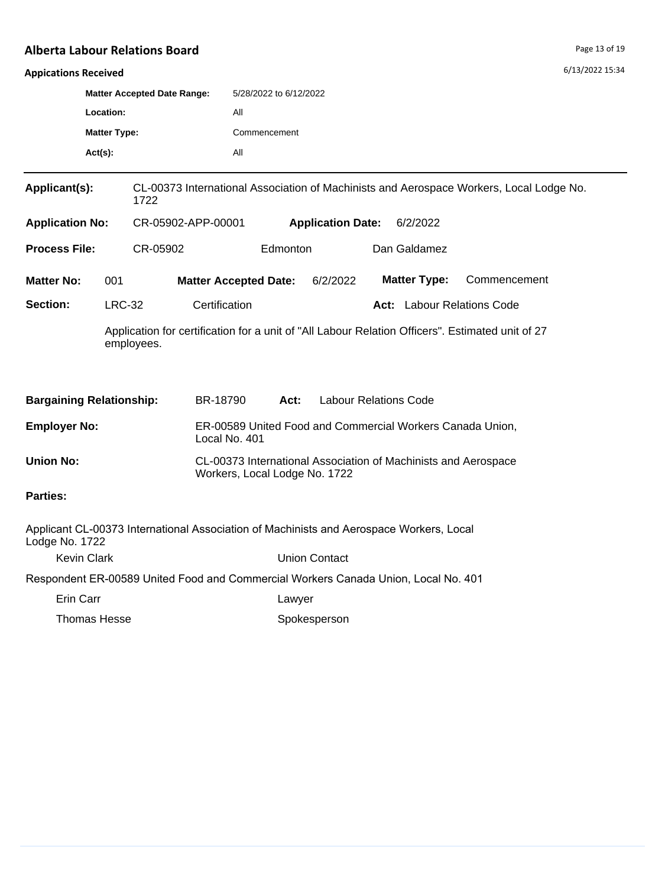#### **Appications Received**

| <b>UNNICATIONS INCERNER</b>     |                     |                                                                                         |                                                                                                 |                                                           |                              |  |                            |                                                                                                  |  |  |
|---------------------------------|---------------------|-----------------------------------------------------------------------------------------|-------------------------------------------------------------------------------------------------|-----------------------------------------------------------|------------------------------|--|----------------------------|--------------------------------------------------------------------------------------------------|--|--|
|                                 |                     | <b>Matter Accepted Date Range:</b>                                                      |                                                                                                 | 5/28/2022 to 6/12/2022                                    |                              |  |                            |                                                                                                  |  |  |
|                                 | Location:           |                                                                                         | All                                                                                             |                                                           |                              |  |                            |                                                                                                  |  |  |
|                                 | <b>Matter Type:</b> |                                                                                         | Commencement                                                                                    |                                                           |                              |  |                            |                                                                                                  |  |  |
|                                 | $Act(s)$ :          |                                                                                         | All                                                                                             |                                                           |                              |  |                            |                                                                                                  |  |  |
| Applicant(s):                   |                     | 1722                                                                                    |                                                                                                 |                                                           |                              |  |                            | CL-00373 International Association of Machinists and Aerospace Workers, Local Lodge No.          |  |  |
| <b>Application No:</b>          |                     | CR-05902-APP-00001                                                                      |                                                                                                 |                                                           | <b>Application Date:</b>     |  | 6/2/2022                   |                                                                                                  |  |  |
| <b>Process File:</b>            |                     | CR-05902                                                                                |                                                                                                 | Edmonton                                                  |                              |  | Dan Galdamez               |                                                                                                  |  |  |
| <b>Matter No:</b>               | 001                 |                                                                                         | <b>Matter Accepted Date:</b>                                                                    |                                                           | 6/2/2022                     |  | <b>Matter Type:</b>        | Commencement                                                                                     |  |  |
| Section:                        | <b>LRC-32</b>       |                                                                                         | Certification                                                                                   |                                                           |                              |  | Act: Labour Relations Code |                                                                                                  |  |  |
|                                 |                     | employees.                                                                              |                                                                                                 |                                                           |                              |  |                            | Application for certification for a unit of "All Labour Relation Officers". Estimated unit of 27 |  |  |
| <b>Bargaining Relationship:</b> |                     |                                                                                         | BR-18790                                                                                        | Act:                                                      | <b>Labour Relations Code</b> |  |                            |                                                                                                  |  |  |
| <b>Employer No:</b>             |                     |                                                                                         | Local No. 401                                                                                   | ER-00589 United Food and Commercial Workers Canada Union, |                              |  |                            |                                                                                                  |  |  |
| <b>Union No:</b>                |                     |                                                                                         | CL-00373 International Association of Machinists and Aerospace<br>Workers, Local Lodge No. 1722 |                                                           |                              |  |                            |                                                                                                  |  |  |
| <b>Parties:</b>                 |                     |                                                                                         |                                                                                                 |                                                           |                              |  |                            |                                                                                                  |  |  |
| Lodge No. 1722                  |                     | Applicant CL-00373 International Association of Machinists and Aerospace Workers, Local |                                                                                                 |                                                           |                              |  |                            |                                                                                                  |  |  |
|                                 | <b>Kevin Clark</b>  |                                                                                         |                                                                                                 |                                                           | <b>Union Contact</b>         |  |                            |                                                                                                  |  |  |
|                                 |                     | Respondent ER-00589 United Food and Commercial Workers Canada Union, Local No. 401      |                                                                                                 |                                                           |                              |  |                            |                                                                                                  |  |  |
| Erin Carr                       |                     |                                                                                         |                                                                                                 | Lawyer                                                    |                              |  |                            |                                                                                                  |  |  |
|                                 | <b>Thomas Hesse</b> |                                                                                         |                                                                                                 | Spokesperson                                              |                              |  |                            |                                                                                                  |  |  |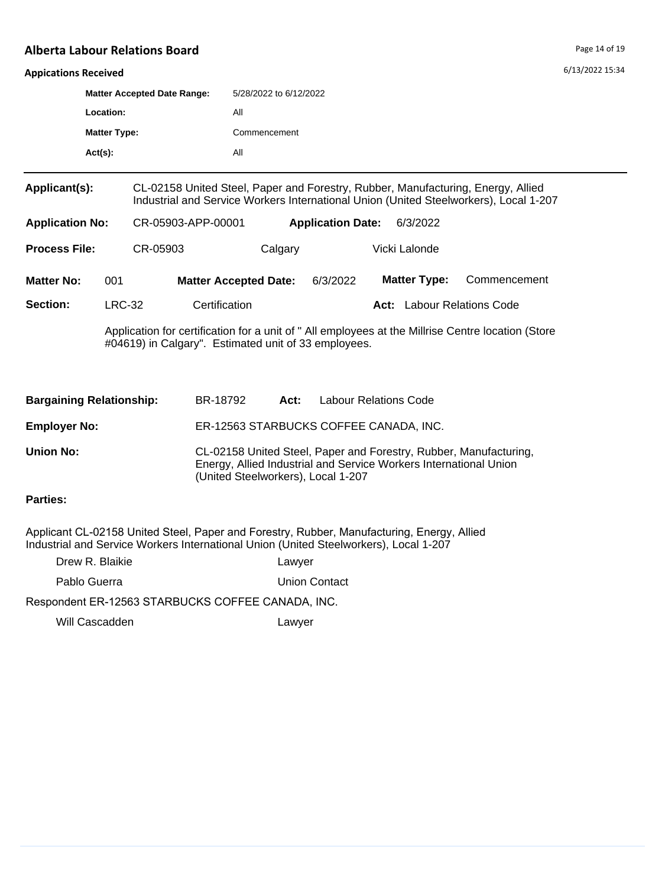**Application No:** CR-05903-APP-00001

6/13/2022 15:34

#### **Appications Received**

| <b>Matter Accepted Date Range:</b> | 5/28/2022 to 6/12/2022 |
|------------------------------------|------------------------|
| Location:                          | All                    |
| <b>Matter Type:</b>                | Commencement           |
| $Act(s)$ :                         | Αll                    |

**Applicant(s):** CL-02158 United Steel, Paper and Forestry, Rubber, Manufacturing, Energy, Allied Industrial and Service Workers International Union (United Steelworkers), Local 1-207

| <b>Process File:</b> | CR-05903      |               | Calgary                      |          | Vicki Lalonde |              |                                   |  |
|----------------------|---------------|---------------|------------------------------|----------|---------------|--------------|-----------------------------------|--|
| <b>Matter No:</b>    | 001           |               | <b>Matter Accepted Date:</b> | 6/3/2022 |               | Matter Type: | Commencement                      |  |
| <b>Section:</b>      | <b>LRC-32</b> | Certification |                              |          |               |              | <b>Act:</b> Labour Relations Code |  |

Application for certification for a unit of " All employees at the Millrise Centre location (Store #04619) in Calgary". Estimated unit of 33 employees.

**Application Date:** 6/3/2022

| <b>Bargaining Relationship:</b> | BR-18792                           | Act: | <b>Labour Relations Code</b>                                                                                                           |
|---------------------------------|------------------------------------|------|----------------------------------------------------------------------------------------------------------------------------------------|
| <b>Employer No:</b>             |                                    |      | ER-12563 STARBUCKS COFFEE CANADA, INC.                                                                                                 |
| Union No:                       | (United Steelworkers), Local 1-207 |      | CL-02158 United Steel, Paper and Forestry, Rubber, Manufacturing,<br>Energy, Allied Industrial and Service Workers International Union |

#### **Parties:**

Applicant CL-02158 United Steel, Paper and Forestry, Rubber, Manufacturing, Energy, Allied Industrial and Service Workers International Union (United Steelworkers), Local 1-207

| Drew R. Blaikie | Lawyer |
|-----------------|--------|
|                 |        |

Pablo Guerra **Value 12 Union Contact** 

Respondent ER-12563 STARBUCKS COFFEE CANADA, INC.

Will Cascadden **Lawyer**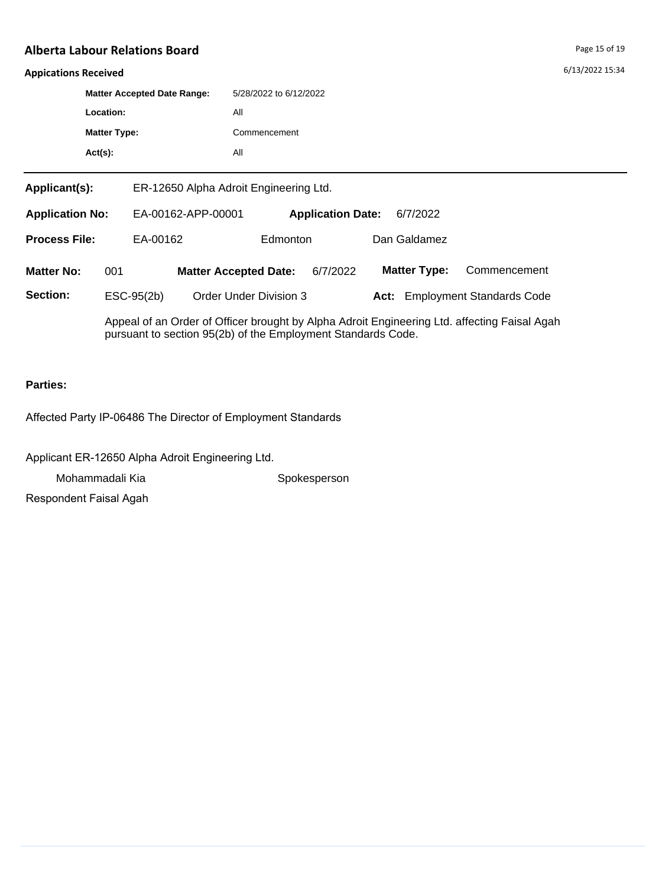## **Appications Received**

| <b>Matter Accepted Date Range:</b> | 5/28/2022 to 6/12/2022 |
|------------------------------------|------------------------|
| Location:                          | All                    |
| <b>Matter Type:</b>                | Commencement           |
| $Act(s)$ :                         | All                    |
|                                    |                        |

| Applicant(s):          |     | ER-12650 Alpha Adroit Engineering Ltd. |                              |                          |          |          |                     |                                |  |
|------------------------|-----|----------------------------------------|------------------------------|--------------------------|----------|----------|---------------------|--------------------------------|--|
| <b>Application No:</b> |     | EA-00162-APP-00001                     |                              | <b>Application Date:</b> |          | 6/7/2022 |                     |                                |  |
| <b>Process File:</b>   |     | EA-00162                               |                              |                          | Edmonton |          | Dan Galdamez        |                                |  |
| <b>Matter No:</b>      | 001 |                                        | <b>Matter Accepted Date:</b> |                          | 6/7/2022 |          | <b>Matter Type:</b> | Commencement                   |  |
| Section:               |     | ESC-95(2b)                             | Order Under Division 3       |                          |          |          |                     | Act: Employment Standards Code |  |
|                        |     |                                        |                              |                          |          |          |                     |                                |  |

Appeal of an Order of Officer brought by Alpha Adroit Engineering Ltd. affecting Faisal Agah pursuant to section 95(2b) of the Employment Standards Code.

## **Parties:**

Affected Party IP-06486 The Director of Employment Standards

Applicant ER-12650 Alpha Adroit Engineering Ltd.

Mohammadali Kia **Spokesperson** 

Respondent Faisal Agah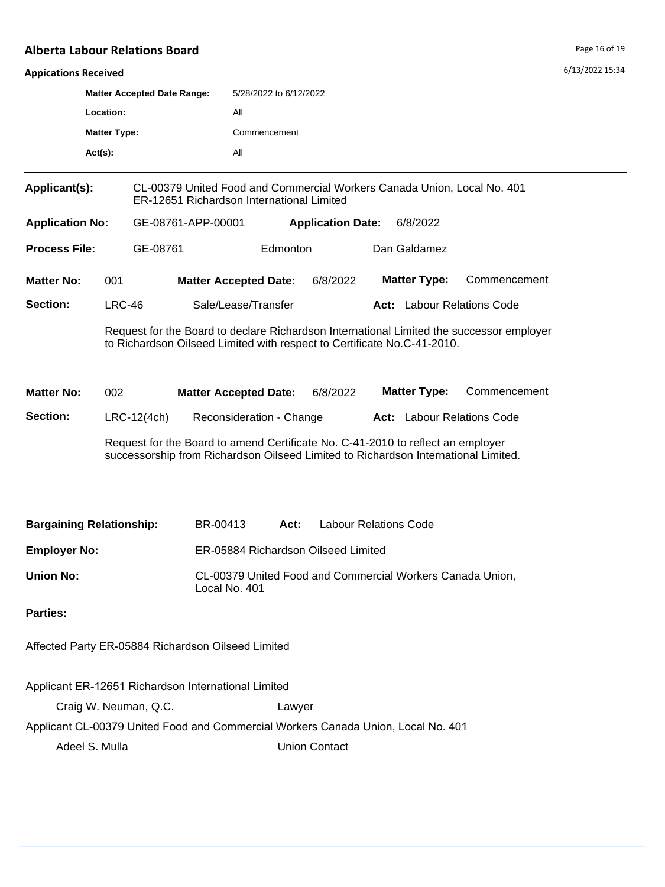| <b>Appications Received</b>     |                                    |                       |                                                                                                                                                                       |                        |                          |                              |  |                                                                                          | 6/13/2022 15:34 |
|---------------------------------|------------------------------------|-----------------------|-----------------------------------------------------------------------------------------------------------------------------------------------------------------------|------------------------|--------------------------|------------------------------|--|------------------------------------------------------------------------------------------|-----------------|
|                                 | <b>Matter Accepted Date Range:</b> |                       |                                                                                                                                                                       | 5/28/2022 to 6/12/2022 |                          |                              |  |                                                                                          |                 |
|                                 | Location:                          |                       | All                                                                                                                                                                   |                        |                          |                              |  |                                                                                          |                 |
|                                 | <b>Matter Type:</b>                |                       |                                                                                                                                                                       | Commencement           |                          |                              |  |                                                                                          |                 |
|                                 | Act(s):                            |                       | All                                                                                                                                                                   |                        |                          |                              |  |                                                                                          |                 |
| Applicant(s):                   |                                    |                       | CL-00379 United Food and Commercial Workers Canada Union, Local No. 401<br>ER-12651 Richardson International Limited                                                  |                        |                          |                              |  |                                                                                          |                 |
| <b>Application No:</b>          |                                    | GE-08761-APP-00001    |                                                                                                                                                                       |                        | <b>Application Date:</b> | 6/8/2022                     |  |                                                                                          |                 |
| <b>Process File:</b>            |                                    | GE-08761              |                                                                                                                                                                       | Edmonton               |                          | Dan Galdamez                 |  |                                                                                          |                 |
| <b>Matter No:</b>               | 001                                |                       | <b>Matter Accepted Date:</b>                                                                                                                                          |                        | 6/8/2022                 | <b>Matter Type:</b>          |  | Commencement                                                                             |                 |
| Section:                        | <b>LRC-46</b>                      |                       | Sale/Lease/Transfer                                                                                                                                                   |                        |                          |                              |  | <b>Act:</b> Labour Relations Code                                                        |                 |
|                                 |                                    |                       | to Richardson Oilseed Limited with respect to Certificate No.C-41-2010.                                                                                               |                        |                          |                              |  | Request for the Board to declare Richardson International Limited the successor employer |                 |
| <b>Matter No:</b>               | 002                                |                       | <b>Matter Accepted Date:</b>                                                                                                                                          |                        | 6/8/2022                 | <b>Matter Type:</b>          |  | Commencement                                                                             |                 |
| Section:                        |                                    | $LRC-12(4ch)$         | Reconsideration - Change                                                                                                                                              |                        |                          |                              |  | <b>Act:</b> Labour Relations Code                                                        |                 |
|                                 |                                    |                       | Request for the Board to amend Certificate No. C-41-2010 to reflect an employer<br>successorship from Richardson Oilseed Limited to Richardson International Limited. |                        |                          |                              |  |                                                                                          |                 |
| <b>Bargaining Relationship:</b> |                                    |                       | BR-00413                                                                                                                                                              | Act:                   |                          | <b>Labour Relations Code</b> |  |                                                                                          |                 |
| <b>Employer No:</b>             |                                    |                       | ER-05884 Richardson Oilseed Limited                                                                                                                                   |                        |                          |                              |  |                                                                                          |                 |
| <b>Union No:</b>                |                                    | Local No. 401         | CL-00379 United Food and Commercial Workers Canada Union,                                                                                                             |                        |                          |                              |  |                                                                                          |                 |
| <b>Parties:</b>                 |                                    |                       |                                                                                                                                                                       |                        |                          |                              |  |                                                                                          |                 |
|                                 |                                    |                       | Affected Party ER-05884 Richardson Oilseed Limited                                                                                                                    |                        |                          |                              |  |                                                                                          |                 |
|                                 |                                    |                       | Applicant ER-12651 Richardson International Limited                                                                                                                   |                        |                          |                              |  |                                                                                          |                 |
|                                 |                                    | Craig W. Neuman, Q.C. |                                                                                                                                                                       | Lawyer                 |                          |                              |  |                                                                                          |                 |
|                                 |                                    |                       | Applicant CL-00379 United Food and Commercial Workers Canada Union, Local No. 401                                                                                     |                        |                          |                              |  |                                                                                          |                 |
|                                 | Adeel S. Mulla                     |                       |                                                                                                                                                                       |                        | <b>Union Contact</b>     |                              |  |                                                                                          |                 |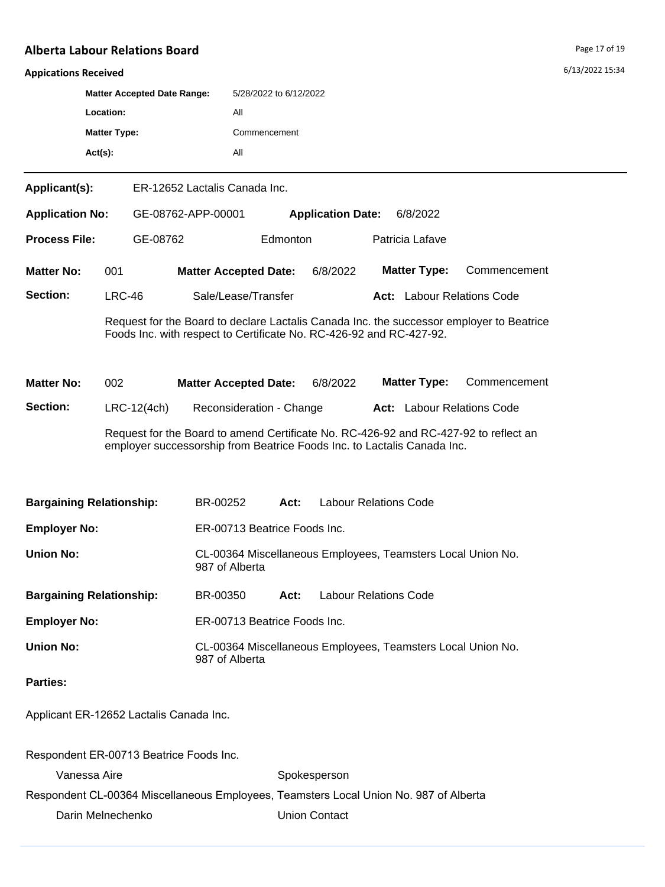#### **Appications Received**

| <b>Matter Accepted Date Range:</b> | 5/28/2022 to 6/12/2022 |
|------------------------------------|------------------------|
| Location:                          | ΑIΙ                    |
| <b>Matter Type:</b>                | Commencement           |
| $Act(s)$ :                         | ΑIΙ                    |

**Applicant(s):** ER-12652 Lactalis Canada Inc.

| <b>Application No:</b> |               | GE-08762-APP-00001<br><b>Application Date:</b>                      |                                                                                                                                                                 |          | 6/8/2022                                                                                 |                                   |              |  |
|------------------------|---------------|---------------------------------------------------------------------|-----------------------------------------------------------------------------------------------------------------------------------------------------------------|----------|------------------------------------------------------------------------------------------|-----------------------------------|--------------|--|
| <b>Process File:</b>   | GE-08762      |                                                                     |                                                                                                                                                                 | Edmonton |                                                                                          | Patricia Lafave                   |              |  |
| <b>Matter No:</b>      | 001           | <b>Matter Accepted Date:</b>                                        |                                                                                                                                                                 | 6/8/2022 |                                                                                          | <b>Matter Type:</b>               | Commencement |  |
| Section:               | $LRC-46$      | Sale/Lease/Transfer                                                 |                                                                                                                                                                 |          |                                                                                          | <b>Act:</b> Labour Relations Code |              |  |
|                        |               | Foods Inc. with respect to Certificate No. RC-426-92 and RC-427-92. |                                                                                                                                                                 |          | Request for the Board to declare Lactalis Canada Inc. the successor employer to Beatrice |                                   |              |  |
| <b>Matter No:</b>      | 002           | <b>Matter Accepted Date:</b>                                        |                                                                                                                                                                 | 6/8/2022 |                                                                                          | <b>Matter Type:</b>               | Commencement |  |
| Section:               | $LRC-12(4ch)$ | Reconsideration - Change                                            |                                                                                                                                                                 |          |                                                                                          | <b>Act:</b> Labour Relations Code |              |  |
|                        |               |                                                                     | Request for the Board to amend Certificate No. RC-426-92 and RC-427-92 to reflect an<br>employer successorship from Beatrice Foods Inc. to Lactalis Canada Inc. |          |                                                                                          |                                   |              |  |

| <b>Bargaining Relationship:</b>         | BR-00252                                                                      | Act: | <b>Labour Relations Code</b> |  |  |  |
|-----------------------------------------|-------------------------------------------------------------------------------|------|------------------------------|--|--|--|
| <b>Employer No:</b>                     | ER-00713 Beatrice Foods Inc.                                                  |      |                              |  |  |  |
| <b>Union No:</b>                        | CL-00364 Miscellaneous Employees, Teamsters Local Union No.<br>987 of Alberta |      |                              |  |  |  |
| <b>Bargaining Relationship:</b>         | BR-00350                                                                      | Act: | Labour Relations Code        |  |  |  |
| <b>Employer No:</b>                     | ER-00713 Beatrice Foods Inc.                                                  |      |                              |  |  |  |
| <b>Union No:</b>                        | CL-00364 Miscellaneous Employees, Teamsters Local Union No.<br>987 of Alberta |      |                              |  |  |  |
| <b>Parties:</b>                         |                                                                               |      |                              |  |  |  |
| Applicant ER-12652 Lactalis Canada Inc. |                                                                               |      |                              |  |  |  |
| Respondent ER-00713 Beatrice Foods Inc. |                                                                               |      |                              |  |  |  |

Vanessa Aire **Spokesperson** Respondent CL-00364 Miscellaneous Employees, Teamsters Local Union No. 987 of Alberta Darin Melnechenko Union Contact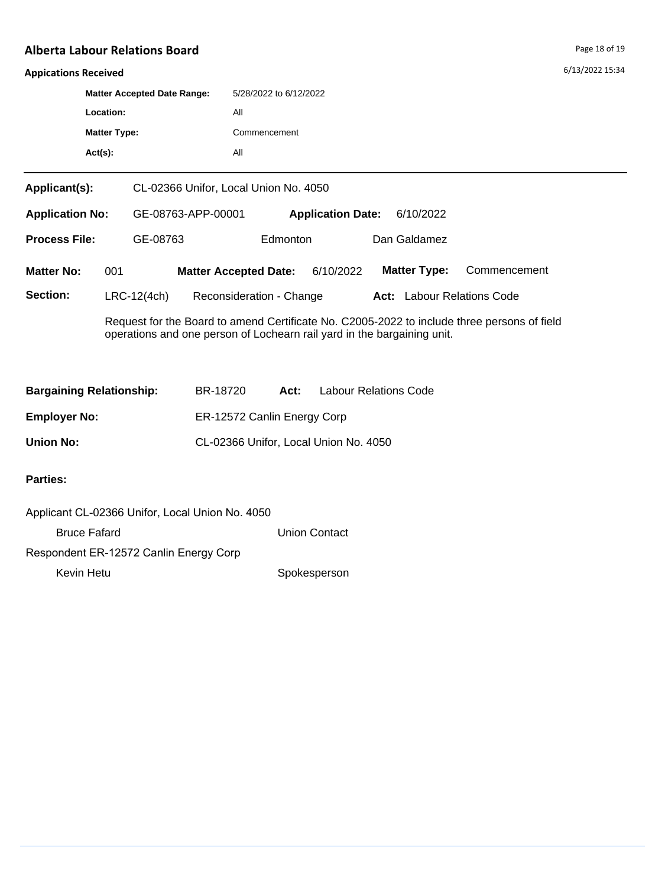#### **Appications Received**

| <b>Matter Accepted Date Range:</b> | 5/28/2022 to 6/12/2022                |
|------------------------------------|---------------------------------------|
| Location:                          | All                                   |
| <b>Matter Type:</b>                | Commencement                          |
| $Act(s)$ :                         | All                                   |
| Applicant(s):                      | CL-02366 Unifor, Local Union No. 4050 |

| <b>Application No:</b> |               | <b>Application Date:</b><br>GE-08763-APP-00001 |          | 6/10/2022 |                     |                            |
|------------------------|---------------|------------------------------------------------|----------|-----------|---------------------|----------------------------|
| <b>Process File:</b>   | GE-08763      |                                                | Edmonton |           | Dan Galdamez        |                            |
| <b>Matter No:</b>      | 001           | <b>Matter Accepted Date:</b>                   |          | 6/10/2022 | <b>Matter Type:</b> | Commencement               |
| Section:               | $LRC-12(4ch)$ | Reconsideration - Change                       |          |           |                     | Act: Labour Relations Code |

Request for the Board to amend Certificate No. C2005-2022 to include three persons of field operations and one person of Lochearn rail yard in the bargaining unit.

| <b>Bargaining Relationship:</b> | BR-18720                    | Act: | <b>Labour Relations Code</b>          |
|---------------------------------|-----------------------------|------|---------------------------------------|
| <b>Employer No:</b>             | ER-12572 Canlin Energy Corp |      |                                       |
| Union No:                       |                             |      | CL-02366 Unifor, Local Union No. 4050 |

| Applicant CL-02366 Unifor, Local Union No. 4050 |               |
|-------------------------------------------------|---------------|
| <b>Bruce Fafard</b>                             | Union Contact |
| Respondent ER-12572 Canlin Energy Corp          |               |
| Kevin Hetu                                      | Spokesperson  |